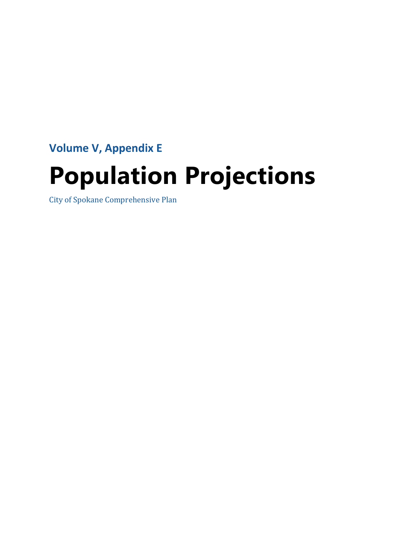**Volume V, Appendix E** 

# **Population Projections**

City of Spokane Comprehensive Plan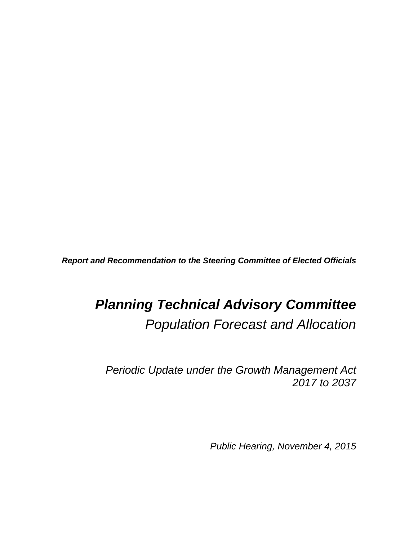*Report and Recommendation to the Steering Committee of Elected Officials* 

# *Planning Technical Advisory Committee Population Forecast and Allocation*

*Periodic Update under the Growth Management Act 2017 to 2037* 

*Public Hearing, November 4, 2015*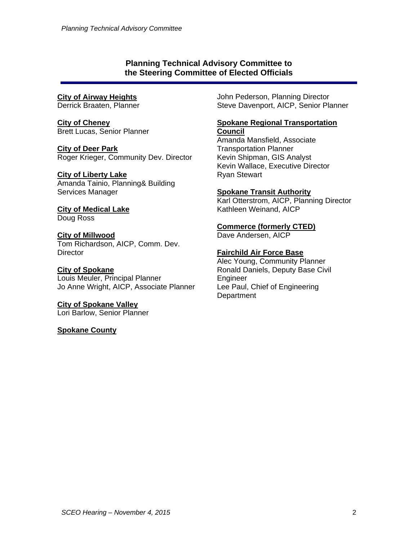#### **Planning Technical Advisory Committee to the Steering Committee of Elected Officials**

#### **City of Airway Heights**

Derrick Braaten, Planner

**City of Cheney**  Brett Lucas, Senior Planner

**City of Deer Park**  Roger Krieger, Community Dev. Director

#### **City of Liberty Lake**

Amanda Tainio, Planning& Building Services Manager

#### **City of Medical Lake**  Doug Ross

**City of Millwood**  Tom Richardson, AICP, Comm. Dev. **Director** 

**City of Spokane**  Louis Meuler, Principal Planner Jo Anne Wright, AICP, Associate Planner

**City of Spokane Valley**  Lori Barlow, Senior Planner

**Spokane County** 

John Pederson, Planning Director Steve Davenport, AICP, Senior Planner

#### **Spokane Regional Transportation Council**

Amanda Mansfield, Associate Transportation Planner Kevin Shipman, GIS Analyst Kevin Wallace, Executive Director Ryan Stewart

#### **Spokane Transit Authority**

Karl Otterstrom, AICP, Planning Director Kathleen Weinand, AICP

**Commerce (formerly CTED)** 

Dave Andersen, AICP

#### **Fairchild Air Force Base**

Alec Young, Community Planner Ronald Daniels, Deputy Base Civil Engineer Lee Paul, Chief of Engineering **Department**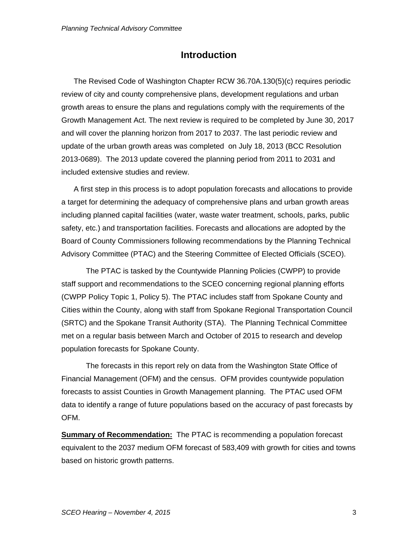# **Introduction**

 The Revised Code of Washington Chapter RCW 36.70A.130(5)(c) requires periodic review of city and county comprehensive plans, development regulations and urban growth areas to ensure the plans and regulations comply with the requirements of the Growth Management Act. The next review is required to be completed by June 30, 2017 and will cover the planning horizon from 2017 to 2037. The last periodic review and update of the urban growth areas was completed on July 18, 2013 (BCC Resolution 2013-0689). The 2013 update covered the planning period from 2011 to 2031 and included extensive studies and review.

 A first step in this process is to adopt population forecasts and allocations to provide a target for determining the adequacy of comprehensive plans and urban growth areas including planned capital facilities (water, waste water treatment, schools, parks, public safety, etc.) and transportation facilities. Forecasts and allocations are adopted by the Board of County Commissioners following recommendations by the Planning Technical Advisory Committee (PTAC) and the Steering Committee of Elected Officials (SCEO).

 The PTAC is tasked by the Countywide Planning Policies (CWPP) to provide staff support and recommendations to the SCEO concerning regional planning efforts (CWPP Policy Topic 1, Policy 5). The PTAC includes staff from Spokane County and Cities within the County, along with staff from Spokane Regional Transportation Council (SRTC) and the Spokane Transit Authority (STA). The Planning Technical Committee met on a regular basis between March and October of 2015 to research and develop population forecasts for Spokane County.

 The forecasts in this report rely on data from the Washington State Office of Financial Management (OFM) and the census. OFM provides countywide population forecasts to assist Counties in Growth Management planning. The PTAC used OFM data to identify a range of future populations based on the accuracy of past forecasts by OFM.

**Summary of Recommendation:** The PTAC is recommending a population forecast equivalent to the 2037 medium OFM forecast of 583,409 with growth for cities and towns based on historic growth patterns.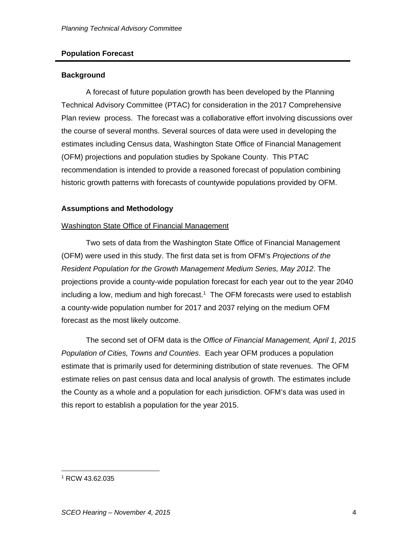#### **Population Forecast**

#### **Background**

 A forecast of future population growth has been developed by the Planning Technical Advisory Committee (PTAC) for consideration in the 2017 Comprehensive Plan review process. The forecast was a collaborative effort involving discussions over the course of several months. Several sources of data were used in developing the estimates including Census data, Washington State Office of Financial Management (OFM) projections and population studies by Spokane County. This PTAC recommendation is intended to provide a reasoned forecast of population combining historic growth patterns with forecasts of countywide populations provided by OFM.

#### **Assumptions and Methodology**

#### Washington State Office of Financial Management

 Two sets of data from the Washington State Office of Financial Management (OFM) were used in this study. The first data set is from OFM's *Projections of the Resident Population for the Growth Management Medium Series, May 2012*. The projections provide a county-wide population forecast for each year out to the year 2040 including a low, medium and high forecast.<sup>1</sup> The OFM forecasts were used to establish a county-wide population number for 2017 and 2037 relying on the medium OFM forecast as the most likely outcome.

 The second set of OFM data is the *Office of Financial Management, April 1, 2015 Population of Cities, Towns and Counties*. Each year OFM produces a population estimate that is primarily used for determining distribution of state revenues. The OFM estimate relies on past census data and local analysis of growth. The estimates include the County as a whole and a population for each jurisdiction. OFM's data was used in this report to establish a population for the year 2015.

 $\overline{a}$ 1 RCW 43.62.035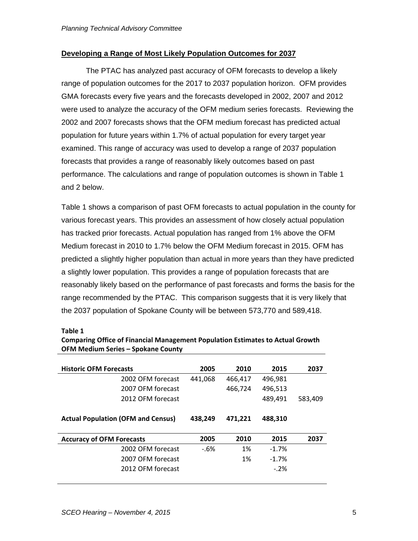#### **Developing a Range of Most Likely Population Outcomes for 2037**

 The PTAC has analyzed past accuracy of OFM forecasts to develop a likely range of population outcomes for the 2017 to 2037 population horizon. OFM provides GMA forecasts every five years and the forecasts developed in 2002, 2007 and 2012 were used to analyze the accuracy of the OFM medium series forecasts. Reviewing the 2002 and 2007 forecasts shows that the OFM medium forecast has predicted actual population for future years within 1.7% of actual population for every target year examined. This range of accuracy was used to develop a range of 2037 population forecasts that provides a range of reasonably likely outcomes based on past performance. The calculations and range of population outcomes is shown in Table 1 and 2 below.

Table 1 shows a comparison of past OFM forecasts to actual population in the county for various forecast years. This provides an assessment of how closely actual population has tracked prior forecasts. Actual population has ranged from 1% above the OFM Medium forecast in 2010 to 1.7% below the OFM Medium forecast in 2015. OFM has predicted a slightly higher population than actual in more years than they have predicted a slightly lower population. This provides a range of population forecasts that are reasonably likely based on the performance of past forecasts and forms the basis for the range recommended by the PTAC. This comparison suggests that it is very likely that the 2037 population of Spokane County will be between 573,770 and 589,418.

#### **Table 1**

**Comparing Office of Financial Management Population Estimates to Actual Growth OFM Medium Series – Spokane County**

| <b>Historic OFM Forecasts</b>             | 2005    | 2010    | 2015    | 2037    |
|-------------------------------------------|---------|---------|---------|---------|
| 2002 OFM forecast                         | 441.068 | 466,417 | 496,981 |         |
| 2007 OFM forecast                         |         | 466,724 | 496,513 |         |
| 2012 OFM forecast                         |         |         | 489,491 | 583.409 |
|                                           |         |         |         |         |
| <b>Actual Population (OFM and Census)</b> | 438,249 | 471,221 | 488,310 |         |
|                                           |         |         |         |         |
| <b>Accuracy of OFM Forecasts</b>          | 2005    | 2010    | 2015    | 2037    |
| 2002 OFM forecast                         | $-6%$   | 1%      | $-1.7%$ |         |
| 2007 OFM forecast                         |         | 1%      | $-1.7%$ |         |
| 2012 OFM forecast                         |         |         | $-2%$   |         |
|                                           |         |         |         |         |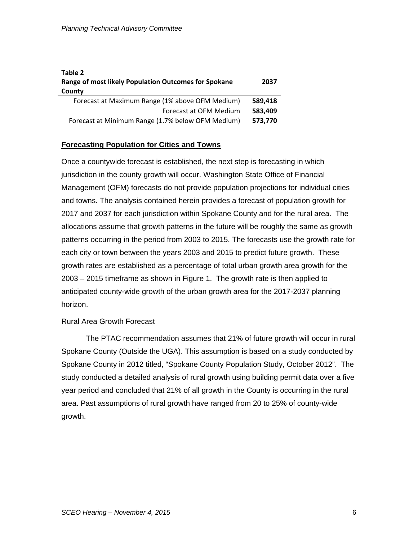| Table 2<br>Range of most likely Population Outcomes for Spokane<br>County | 2037    |
|---------------------------------------------------------------------------|---------|
| Forecast at Maximum Range (1% above OFM Medium)                           | 589,418 |
| Forecast at OFM Medium                                                    | 583,409 |
| Forecast at Minimum Range (1.7% below OFM Medium)                         | 573,770 |

#### **Forecasting Population for Cities and Towns**

Once a countywide forecast is established, the next step is forecasting in which jurisdiction in the county growth will occur. Washington State Office of Financial Management (OFM) forecasts do not provide population projections for individual cities and towns. The analysis contained herein provides a forecast of population growth for 2017 and 2037 for each jurisdiction within Spokane County and for the rural area. The allocations assume that growth patterns in the future will be roughly the same as growth patterns occurring in the period from 2003 to 2015. The forecasts use the growth rate for each city or town between the years 2003 and 2015 to predict future growth. These growth rates are established as a percentage of total urban growth area growth for the 2003 – 2015 timeframe as shown in Figure 1. The growth rate is then applied to anticipated county-wide growth of the urban growth area for the 2017-2037 planning horizon.

#### Rural Area Growth Forecast

 The PTAC recommendation assumes that 21% of future growth will occur in rural Spokane County (Outside the UGA). This assumption is based on a study conducted by Spokane County in 2012 titled, "Spokane County Population Study, October 2012". The study conducted a detailed analysis of rural growth using building permit data over a five year period and concluded that 21% of all growth in the County is occurring in the rural area. Past assumptions of rural growth have ranged from 20 to 25% of county-wide growth.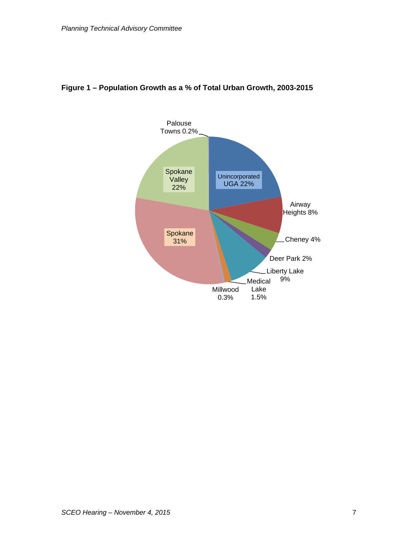

### **Figure 1 – Population Growth as a % of Total Urban Growth, 2003-2015**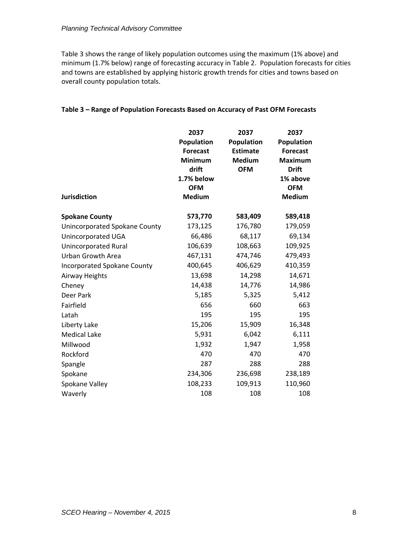Table 3 shows the range of likely population outcomes using the maximum (1% above) and minimum (1.7% below) range of forecasting accuracy in Table 2. Population forecasts for cities and towns are established by applying historic growth trends for cities and towns based on overall county population totals.

#### **Table 3 – Range of Population Forecasts Based on Accuracy of Past OFM Forecasts**

| <b>Jurisdiction</b>                | 2037<br>Population<br><b>Forecast</b><br><b>Minimum</b><br>drift<br>1.7% below<br><b>OFM</b><br><b>Medium</b> | 2037<br>Population<br><b>Estimate</b><br><b>Medium</b><br><b>OFM</b> | 2037<br>Population<br><b>Forecast</b><br><b>Maximum</b><br><b>Drift</b><br>1% above<br><b>OFM</b><br><b>Medium</b> |
|------------------------------------|---------------------------------------------------------------------------------------------------------------|----------------------------------------------------------------------|--------------------------------------------------------------------------------------------------------------------|
| <b>Spokane County</b>              | 573,770                                                                                                       | 583,409                                                              | 589,418                                                                                                            |
| Unincorporated Spokane County      | 173,125                                                                                                       | 176,780                                                              | 179,059                                                                                                            |
| Unincorporated UGA                 | 66,486                                                                                                        | 68,117                                                               | 69,134                                                                                                             |
| <b>Unincorporated Rural</b>        | 106,639                                                                                                       | 108,663                                                              | 109,925                                                                                                            |
| <b>Urban Growth Area</b>           | 467,131                                                                                                       | 474,746                                                              | 479,493                                                                                                            |
| <b>Incorporated Spokane County</b> | 400,645                                                                                                       | 406,629                                                              | 410,359                                                                                                            |
| <b>Airway Heights</b>              | 13,698                                                                                                        | 14,298                                                               | 14,671                                                                                                             |
| Cheney                             | 14,438                                                                                                        | 14,776                                                               | 14,986                                                                                                             |
| Deer Park                          | 5,185                                                                                                         | 5,325                                                                | 5,412                                                                                                              |
| Fairfield                          | 656                                                                                                           | 660                                                                  | 663                                                                                                                |
| Latah                              | 195                                                                                                           | 195                                                                  | 195                                                                                                                |
| Liberty Lake                       | 15,206                                                                                                        | 15,909                                                               | 16,348                                                                                                             |
| <b>Medical Lake</b>                | 5,931                                                                                                         | 6,042                                                                | 6,111                                                                                                              |
| Millwood                           | 1,932                                                                                                         | 1,947                                                                | 1,958                                                                                                              |
| Rockford                           | 470                                                                                                           | 470                                                                  | 470                                                                                                                |
| Spangle                            | 287                                                                                                           | 288                                                                  | 288                                                                                                                |
| Spokane                            | 234,306                                                                                                       | 236,698                                                              | 238,189                                                                                                            |
| Spokane Valley                     | 108,233                                                                                                       | 109,913                                                              | 110,960                                                                                                            |
| Waverly                            | 108                                                                                                           | 108                                                                  | 108                                                                                                                |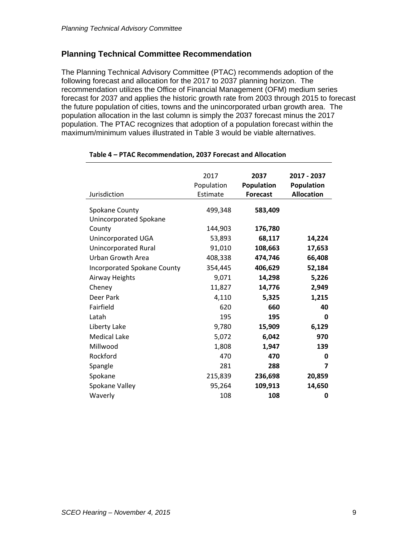## **Planning Technical Committee Recommendation**

The Planning Technical Advisory Committee (PTAC) recommends adoption of the following forecast and allocation for the 2017 to 2037 planning horizon. The recommendation utilizes the Office of Financial Management (OFM) medium series forecast for 2037 and applies the historic growth rate from 2003 through 2015 to forecast the future population of cities, towns and the unincorporated urban growth area. The population allocation in the last column is simply the 2037 forecast minus the 2017 population. The PTAC recognizes that adoption of a population forecast within the maximum/minimum values illustrated in Table 3 would be viable alternatives.

| Jurisdiction                       | 2017<br>Population<br>Estimate | 2037<br><b>Population</b><br><b>Forecast</b> | 2017 - 2037<br>Population<br><b>Allocation</b> |
|------------------------------------|--------------------------------|----------------------------------------------|------------------------------------------------|
| Spokane County                     | 499,348                        | 583,409                                      |                                                |
| Unincorporated Spokane             |                                |                                              |                                                |
| County                             | 144,903                        | 176,780                                      |                                                |
| Unincorporated UGA                 | 53,893                         | 68,117                                       | 14,224                                         |
| Unincorporated Rural               | 91,010                         | 108,663                                      | 17,653                                         |
| Urban Growth Area                  | 408,338                        | 474,746                                      | 66,408                                         |
| <b>Incorporated Spokane County</b> | 354,445                        | 406,629                                      | 52,184                                         |
| Airway Heights                     | 9,071                          | 14,298                                       | 5,226                                          |
| Cheney                             | 11,827                         | 14,776                                       | 2,949                                          |
| Deer Park                          | 4,110                          | 5,325                                        | 1,215                                          |
| Fairfield                          | 620                            | 660                                          | 40                                             |
| Latah                              | 195                            | 195                                          | 0                                              |
| Liberty Lake                       | 9,780                          | 15,909                                       | 6,129                                          |
| <b>Medical Lake</b>                | 5,072                          | 6,042                                        | 970                                            |
| Millwood                           | 1,808                          | 1,947                                        | 139                                            |
| Rockford                           | 470                            | 470                                          | 0                                              |
| Spangle                            | 281                            | 288                                          | $\overline{\mathbf{z}}$                        |
| Spokane                            | 215,839                        | 236,698                                      | 20,859                                         |
| Spokane Valley                     | 95,264                         | 109,913                                      | 14,650                                         |
| Waverly                            | 108                            | 108                                          | 0                                              |

#### **Table 4 – PTAC Recommendation, 2037 Forecast and Allocation**